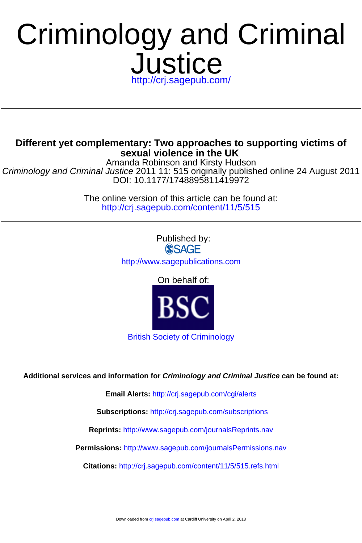# <http://crj.sagepub.com/> **Justice** Criminology and Criminal

**sexual violence in the UK Different yet complementary: Two approaches to supporting victims of**

Criminology and Criminal Justice 2011 11: 515 originally published online 24 August 2011 Amanda Robinson and Kirsty Hudson

DOI: 10.1177/1748895811419972

<http://crj.sagepub.com/content/11/5/515> The online version of this article can be found at:

Published by:<br>
SAGE

<http://www.sagepublications.com>

On behalf of:



[British Society of Criminology](http://www.britsoccrim.org/)

**Additional services and information for Criminology and Criminal Justice can be found at:**

**Email Alerts:** <http://crj.sagepub.com/cgi/alerts>

**Subscriptions:** <http://crj.sagepub.com/subscriptions>

**Reprints:** <http://www.sagepub.com/journalsReprints.nav>

**Permissions:** <http://www.sagepub.com/journalsPermissions.nav>

**Citations:** <http://crj.sagepub.com/content/11/5/515.refs.html>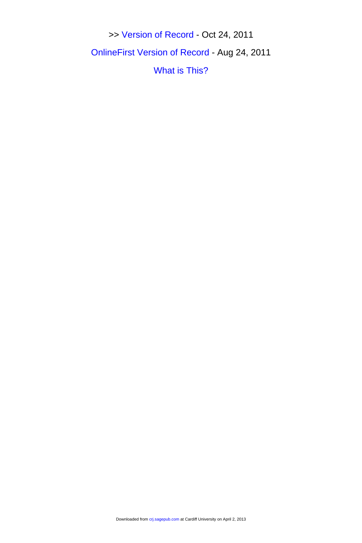[What is This?](http://online.sagepub.com/site/sphelp/vorhelp.xhtml) [OnlineFirst Version of Record](http://crj.sagepub.com/content/early/2011/08/23/1748895811419972.full.pdf) - Aug 24, 2011 >> [Version of Record -](http://crj.sagepub.com/content/11/5/515.full.pdf) Oct 24, 2011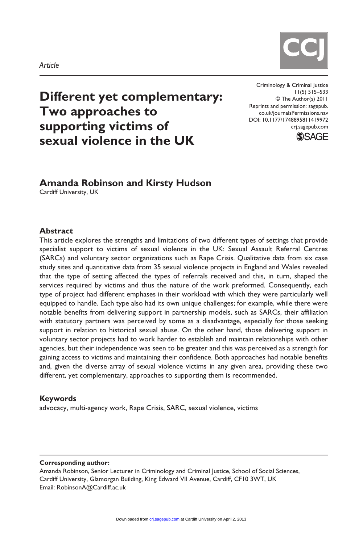#### *Article*



**Different yet complementary: Two approaches to supporting victims of sexual violence in the UK**

Criminology & Criminal Justice 11(5) 515–533 © The Author(s) 2011 Reprints and permission: sagepub. co.uk/journalsPermissions.nav DOI: 10.1177/1748895811419972 crj.sagepub.com **SSAGE** 

# **Amanda Robinson and Kirsty Hudson**

Cardiff University, UK

#### **Abstract**

This article explores the strengths and limitations of two different types of settings that provide specialist support to victims of sexual violence in the UK: Sexual Assault Referral Centres (SARCs) and voluntary sector organizations such as Rape Crisis. Qualitative data from six case study sites and quantitative data from 35 sexual violence projects in England and Wales revealed that the type of setting affected the types of referrals received and this, in turn, shaped the services required by victims and thus the nature of the work preformed. Consequently, each type of project had different emphases in their workload with which they were particularly well equipped to handle. Each type also had its own unique challenges; for example, while there were notable benefits from delivering support in partnership models, such as SARCs, their affiliation with statutory partners was perceived by some as a disadvantage, especially for those seeking support in relation to historical sexual abuse. On the other hand, those delivering support in voluntary sector projects had to work harder to establish and maintain relationships with other agencies, but their independence was seen to be greater and this was perceived as a strength for gaining access to victims and maintaining their confidence. Both approaches had notable benefits and, given the diverse array of sexual violence victims in any given area, providing these two different, yet complementary, approaches to supporting them is recommended.

#### **Keywords**

advocacy, multi-agency work, Rape Crisis, SARC, sexual violence, victims

#### **Corresponding author:**

Amanda Robinson, Senior Lecturer in Criminology and Criminal Justice, School of Social Sciences, Cardiff University, Glamorgan Building, King Edward VII Avenue, Cardiff, CF10 3WT, UK Email: RobinsonA@Cardiff.ac.uk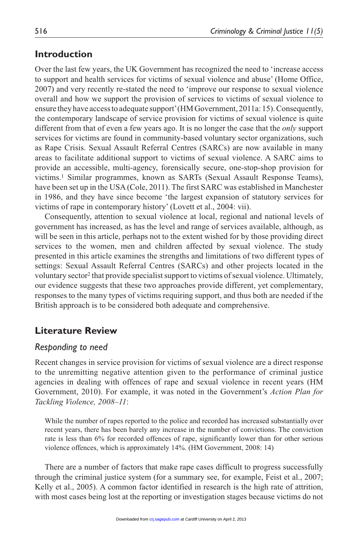## **Introduction**

Over the last few years, the UK Government has recognized the need to 'increase access to support and health services for victims of sexual violence and abuse' (Home Office, 2007) and very recently re-stated the need to 'improve our response to sexual violence overall and how we support the provision of services to victims of sexual violence to ensure they have access to adequate support' (HM Government, 2011a: 15). Consequently, the contemporary landscape of service provision for victims of sexual violence is quite different from that of even a few years ago. It is no longer the case that the *only* support services for victims are found in community-based voluntary sector organizations, such as Rape Crisis. Sexual Assault Referral Centres (SARCs) are now available in many areas to facilitate additional support to victims of sexual violence. A SARC aims to provide an accessible, multi-agency, forensically secure, one-stop-shop provision for victims.1 Similar programmes, known as SARTs (Sexual Assault Response Teams), have been set up in the USA (Cole, 2011). The first SARC was established in Manchester in 1986, and they have since become 'the largest expansion of statutory services for victims of rape in contemporary history' (Lovett et al., 2004: vii).

Consequently, attention to sexual violence at local, regional and national levels of government has increased, as has the level and range of services available, although, as will be seen in this article, perhaps not to the extent wished for by those providing direct services to the women, men and children affected by sexual violence. The study presented in this article examines the strengths and limitations of two different types of settings: Sexual Assault Referral Centres (SARCs) and other projects located in the voluntary sector2 that provide specialist support to victims of sexual violence. Ultimately, our evidence suggests that these two approaches provide different, yet complementary, responses to the many types of victims requiring support, and thus both are needed if the British approach is to be considered both adequate and comprehensive.

## **Literature Review**

#### *Responding to need*

Recent changes in service provision for victims of sexual violence are a direct response to the unremitting negative attention given to the performance of criminal justice agencies in dealing with offences of rape and sexual violence in recent years (HM Government, 2010). For example, it was noted in the Government's *Action Plan for Tackling Violence, 2008–11*:

While the number of rapes reported to the police and recorded has increased substantially over recent years, there has been barely any increase in the number of convictions. The conviction rate is less than 6% for recorded offences of rape, significantly lower than for other serious violence offences, which is approximately 14%. (HM Government, 2008: 14)

There are a number of factors that make rape cases difficult to progress successfully through the criminal justice system (for a summary see, for example, Feist et al., 2007; Kelly et al., 2005). A common factor identified in research is the high rate of attrition, with most cases being lost at the reporting or investigation stages because victims do not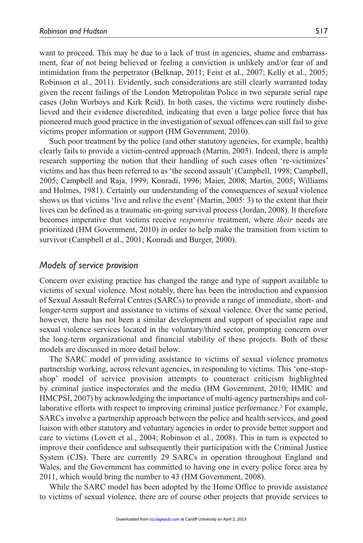want to proceed. This may be due to a lack of trust in agencies, shame and embarrassment, fear of not being believed or feeling a conviction is unlikely and/or fear of and intimidation from the perpetrator (Belknap, 2011; Feist et al., 2007; Kelly et al., 2005; Robinson et al., 2011). Evidently, such considerations are still clearly warranted today given the recent failings of the London Metropolitan Police in two separate serial rape cases (John Worboys and Kirk Reid). In both cases, the victims were routinely disbelieved and their evidence discredited, indicating that even a large police force that has pioneered much good practice in the investigation of sexual offences can still fail to give victims proper information or support (HM Government, 2010).

Such poor treatment by the police (and other statutory agencies, for example, health) clearly fails to provide a victim-centred approach (Martin, 2005). Indeed, there is ample research supporting the notion that their handling of such cases often 're-victimizes' victims and has thus been referred to as 'the second assault' (Campbell, 1998; Campbell, 2005; Campbell and Raja, 1999; Konradi, 1996; Maier, 2008; Martin, 2005; Williams and Holmes, 1981). Certainly our understanding of the consequences of sexual violence shows us that victims 'live and relive the event' (Martin, 2005: 3) to the extent that their lives can be defined as a traumatic on-going survival process (Jordan, 2008). It therefore becomes imperative that victims receive *responsive* treatment, where *their* needs are prioritized (HM Government, 2010) in order to help make the transition from victim to survivor (Campbell et al., 2001; Konradi and Burger, 2000).

## *Models of service provision*

Concern over existing practice has changed the range and type of support available to victims of sexual violence. Most notably, there has been the introduction and expansion of Sexual Assault Referral Centres (SARCs) to provide a range of immediate, short- and longer-term support and assistance to victims of sexual violence. Over the same period, however, there has not been a similar development and support of specialist rape and sexual violence services located in the voluntary/third sector, prompting concern over the long-term organizational and financial stability of these projects. Both of these models are discussed in more detail below.

The SARC model of providing assistance to victims of sexual violence promotes partnership working, across relevant agencies, in responding to victims. This 'one-stopshop' model of service provision attempts to counteract criticism highlighted by criminal justice inspectorates and the media (HM Government, 2010; HMIC and HMCPSI, 2007) by acknowledging the importance of multi-agency partnerships and collaborative efforts with respect to improving criminal justice performance.3 For example, SARCs involve a partnership approach between the police and health services, and good liaison with other statutory and voluntary agencies in order to provide better support and care to victims (Lovett et al., 2004; Robinson et al., 2008). This in turn is expected to improve their confidence and subsequently their participation with the Criminal Justice System (CJS). There are currently 29 SARCs in operation throughout England and Wales, and the Government has committed to having one in every police force area by 2011, which would bring the number to 43 (HM Government, 2008).

While the SARC model has been adopted by the Home Office to provide assistance to victims of sexual violence, there are of course other projects that provide services to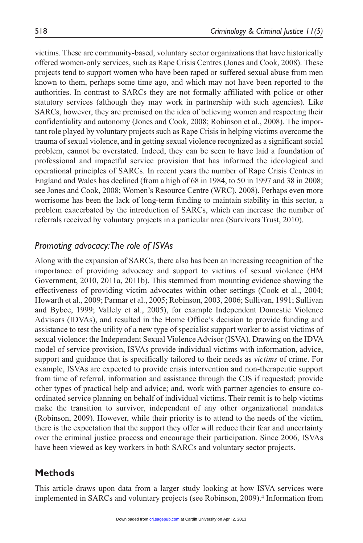victims. These are community-based, voluntary sector organizations that have historically offered women-only services, such as Rape Crisis Centres (Jones and Cook, 2008). These projects tend to support women who have been raped or suffered sexual abuse from men known to them, perhaps some time ago, and which may not have been reported to the authorities. In contrast to SARCs they are not formally affiliated with police or other statutory services (although they may work in partnership with such agencies). Like SARCs, however, they are premised on the idea of believing women and respecting their confidentiality and autonomy (Jones and Cook, 2008; Robinson et al., 2008). The important role played by voluntary projects such as Rape Crisis in helping victims overcome the trauma of sexual violence, and in getting sexual violence recognized as a significant social problem, cannot be overstated. Indeed, they can be seen to have laid a foundation of professional and impactful service provision that has informed the ideological and operational principles of SARCs. In recent years the number of Rape Crisis Centres in England and Wales has declined (from a high of 68 in 1984, to 50 in 1997 and 38 in 2008; see Jones and Cook, 2008; Women's Resource Centre (WRC), 2008). Perhaps even more worrisome has been the lack of long-term funding to maintain stability in this sector, a problem exacerbated by the introduction of SARCs, which can increase the number of referrals received by voluntary projects in a particular area (Survivors Trust, 2010).

## *Promoting advocacy: The role of ISVAs*

Along with the expansion of SARCs, there also has been an increasing recognition of the importance of providing advocacy and support to victims of sexual violence (HM Government, 2010, 2011a, 2011b). This stemmed from mounting evidence showing the effectiveness of providing victim advocates within other settings (Cook et al., 2004; Howarth et al., 2009; Parmar et al., 2005; Robinson, 2003, 2006; Sullivan, 1991; Sullivan and Bybee, 1999; Vallely et al., 2005), for example Independent Domestic Violence Advisors (IDVAs), and resulted in the Home Office's decision to provide funding and assistance to test the utility of a new type of specialist support worker to assist victims of sexual violence: the Independent Sexual Violence Advisor (ISVA). Drawing on the IDVA model of service provision, ISVAs provide individual victims with information, advice, support and guidance that is specifically tailored to their needs as *victims* of crime. For example, ISVAs are expected to provide crisis intervention and non-therapeutic support from time of referral, information and assistance through the CJS if requested; provide other types of practical help and advice; and, work with partner agencies to ensure coordinated service planning on behalf of individual victims. Their remit is to help victims make the transition to survivor, independent of any other organizational mandates (Robinson, 2009). However, while their priority is to attend to the needs of the victim, there is the expectation that the support they offer will reduce their fear and uncertainty over the criminal justice process and encourage their participation. Since 2006, ISVAs have been viewed as key workers in both SARCs and voluntary sector projects.

## **Methods**

This article draws upon data from a larger study looking at how ISVA services were implemented in SARCs and voluntary projects (see Robinson, 2009).4 Information from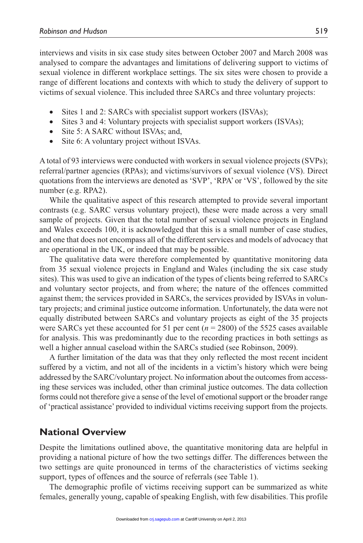interviews and visits in six case study sites between October 2007 and March 2008 was analysed to compare the advantages and limitations of delivering support to victims of sexual violence in different workplace settings. The six sites were chosen to provide a range of different locations and contexts with which to study the delivery of support to victims of sexual violence. This included three SARCs and three voluntary projects:

- Sites 1 and 2: SARCs with specialist support workers (ISVAs);
- Sites 3 and 4: Voluntary projects with specialist support workers (ISVAs);
- Site 5: A SARC without ISVAs; and,
- Site 6: A voluntary project without ISVAs.

A total of 93 interviews were conducted with workers in sexual violence projects (SVPs); referral/partner agencies (RPAs); and victims/survivors of sexual violence (VS). Direct quotations from the interviews are denoted as 'SVP', 'RPA' or 'VS', followed by the site number (e.g. RPA2).

While the qualitative aspect of this research attempted to provide several important contrasts (e.g. SARC versus voluntary project), these were made across a very small sample of projects. Given that the total number of sexual violence projects in England and Wales exceeds 100, it is acknowledged that this is a small number of case studies, and one that does not encompass all of the different services and models of advocacy that are operational in the UK, or indeed that may be possible.

The qualitative data were therefore complemented by quantitative monitoring data from 35 sexual violence projects in England and Wales (including the six case study sites). This was used to give an indication of the types of clients being referred to SARCs and voluntary sector projects, and from where; the nature of the offences committed against them; the services provided in SARCs, the services provided by ISVAs in voluntary projects; and criminal justice outcome information. Unfortunately, the data were not equally distributed between SARCs and voluntary projects as eight of the 35 projects were SARCs yet these accounted for 51 per cent  $(n = 2800)$  of the 5525 cases available for analysis. This was predominantly due to the recording practices in both settings as well a higher annual caseload within the SARCs studied (see Robinson, 2009).

A further limitation of the data was that they only reflected the most recent incident suffered by a victim, and not all of the incidents in a victim's history which were being addressed by the SARC/voluntary project. No information about the outcomes from accessing these services was included, other than criminal justice outcomes. The data collection forms could not therefore give a sense of the level of emotional support or the broader range of 'practical assistance' provided to individual victims receiving support from the projects.

## **National Overview**

Despite the limitations outlined above, the quantitative monitoring data are helpful in providing a national picture of how the two settings differ. The differences between the two settings are quite pronounced in terms of the characteristics of victims seeking support, types of offences and the source of referrals (see Table 1).

The demographic profile of victims receiving support can be summarized as white females, generally young, capable of speaking English, with few disabilities. This profile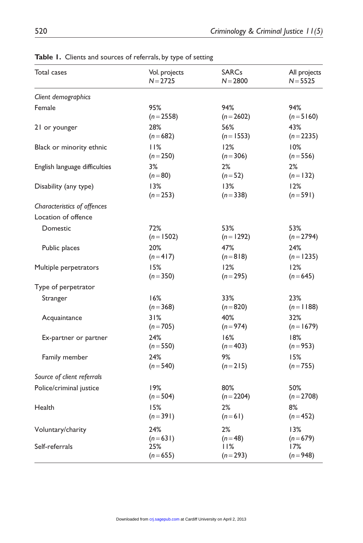| Total cases                   | Vol. projects | <b>SARCs</b> | All projects |
|-------------------------------|---------------|--------------|--------------|
|                               | $N = 2725$    | $N = 2800$   | $N = 5525$   |
| Client demographics           |               |              |              |
| Female                        | 95%           | 94%          | 94%          |
|                               | $(n=2558)$    | $(n=2602)$   | $(n=5160)$   |
| 21 or younger                 | 28%           | 56%          | 43%          |
|                               | $(n=682)$     | $(n=1553)$   | $(n=2235)$   |
| Black or minority ethnic      | 11%           | 12%          | 10%          |
|                               | $(n=250)$     | $(n=306)$    | $(n=556)$    |
| English language difficulties | 3%            | 2%           | 2%           |
|                               | $(n=80)$      | $(n=52)$     | $(n=132)$    |
| Disability (any type)         | 13%           | 13%          | 12%          |
|                               | $(n=253)$     | $(n=338)$    | $(n=591)$    |
| Characteristics of offences   |               |              |              |
| Location of offence           |               |              |              |
| Domestic                      | 72%           | 53%          | 53%          |
|                               | $(n = 1502)$  | $(n=1292)$   | $(n=2794)$   |
| Public places                 | 20%           | 47%          | 24%          |
|                               | $(n=417)$     | $(n=818)$    | $(n=1235)$   |
| Multiple perpetrators         | 15%           | 12%          | 12%          |
|                               | $(n=350)$     | $(n=295)$    | $(n=645)$    |
| Type of perpetrator           |               |              |              |
| Stranger                      | 16%           | 33%          | 23%          |
|                               | $(n=368)$     | $(n=820)$    | $(n=1188)$   |
| Acquaintance                  | 31%           | 40%          | 32%          |
|                               | $(n=705)$     | $(n=974)$    | $(n = 1679)$ |
| Ex-partner or partner         | 24%           | 16%          | 18%          |
|                               | $(n=550)$     | $(n=403)$    | $(n=953)$    |
| Family member                 | 24%           | 9%           | 15%          |
|                               | $(n=540)$     | $(n=215)$    | $(n=755)$    |
| Source of client referrals    |               |              |              |
| Police/criminal justice       | 19%           | 80%          | 50%          |
|                               | $(n=504)$     | $(n=2204)$   | $(n=2708)$   |
| Health                        | 15%           | 2%           | 8%           |
|                               | $(n=391)$     | $(n=61)$     | $(n=452)$    |
| Voluntary/charity             | 24%           | 2%           | 13%          |
|                               | $(n=631)$     | $(n=48)$     | $(n=679)$    |
| Self-referrals                | 25%           | 11%          | 17%          |
|                               | $(n=655)$     | $(n=293)$    | $(n=948)$    |

**Table 1.** Clients and sources of referrals, by type of setting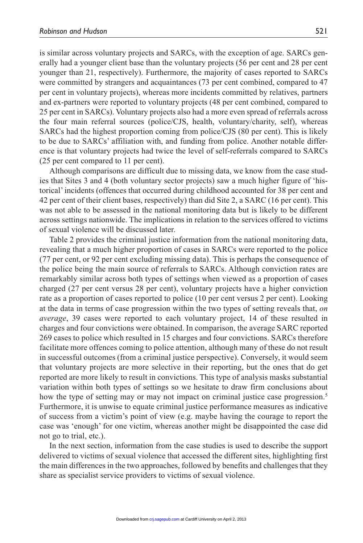is similar across voluntary projects and SARCs, with the exception of age. SARCs generally had a younger client base than the voluntary projects (56 per cent and 28 per cent younger than 21, respectively). Furthermore, the majority of cases reported to SARCs were committed by strangers and acquaintances (73 per cent combined, compared to 47 per cent in voluntary projects), whereas more incidents committed by relatives, partners and ex-partners were reported to voluntary projects (48 per cent combined, compared to 25 per cent in SARCs). Voluntary projects also had a more even spread of referrals across the four main referral sources (police/CJS, health, voluntary/charity, self), whereas SARCs had the highest proportion coming from police/CJS (80 per cent). This is likely to be due to SARCs' affiliation with, and funding from police. Another notable difference is that voluntary projects had twice the level of self-referrals compared to SARCs (25 per cent compared to 11 per cent).

Although comparisons are difficult due to missing data, we know from the case studies that Sites 3 and 4 (both voluntary sector projects) saw a much higher figure of 'historical' incidents (offences that occurred during childhood accounted for 38 per cent and 42 per cent of their client bases, respectively) than did Site 2, a SARC (16 per cent). This was not able to be assessed in the national monitoring data but is likely to be different across settings nationwide. The implications in relation to the services offered to victims of sexual violence will be discussed later.

Table 2 provides the criminal justice information from the national monitoring data, revealing that a much higher proportion of cases in SARCs were reported to the police (77 per cent, or 92 per cent excluding missing data). This is perhaps the consequence of the police being the main source of referrals to SARCs. Although conviction rates are remarkably similar across both types of settings when viewed as a proportion of cases charged (27 per cent versus 28 per cent), voluntary projects have a higher conviction rate as a proportion of cases reported to police (10 per cent versus 2 per cent). Looking at the data in terms of case progression within the two types of setting reveals that, *on average*, 39 cases were reported to each voluntary project, 14 of these resulted in charges and four convictions were obtained. In comparison, the average SARC reported 269 cases to police which resulted in 15 charges and four convictions. SARCs therefore facilitate more offences coming to police attention, although many of these do not result in successful outcomes (from a criminal justice perspective). Conversely, it would seem that voluntary projects are more selective in their reporting, but the ones that do get reported are more likely to result in convictions. This type of analysis masks substantial variation within both types of settings so we hesitate to draw firm conclusions about how the type of setting may or may not impact on criminal justice case progression.<sup>5</sup> Furthermore, it is unwise to equate criminal justice performance measures as indicative of success from a victim's point of view (e.g. maybe having the courage to report the case was 'enough' for one victim, whereas another might be disappointed the case did not go to trial, etc.).

In the next section, information from the case studies is used to describe the support delivered to victims of sexual violence that accessed the different sites, highlighting first the main differences in the two approaches, followed by benefits and challenges that they share as specialist service providers to victims of sexual violence.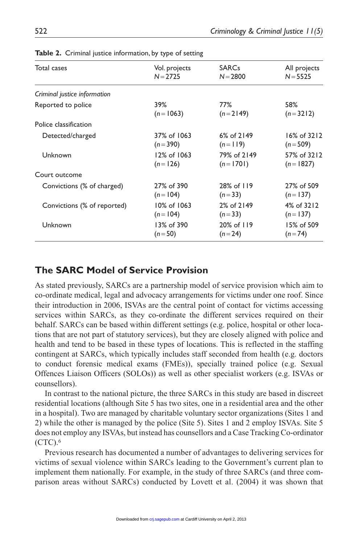| Total cases                  | Vol. projects | <b>SARCs</b> | All projects |
|------------------------------|---------------|--------------|--------------|
|                              | $N = 2725$    | $N = 2800$   | $N = 5525$   |
| Criminal justice information |               |              |              |
| Reported to police           | 39%           | 77%          | 58%          |
|                              | $(n=1063)$    | $(n=2149)$   | $(n=3212)$   |
| Police classification        |               |              |              |
| Detected/charged             | 37% of 1063   | 6% of 2149   | 16% of 3212  |
|                              | $(n=390)$     | $(n=119)$    | $(n=509)$    |
| Unknown                      | 12% of 1063   | 79% of 2149  | 57% of 3212  |
|                              | $(n=126)$     | $(n=1701)$   | $(n=1827)$   |
| Court outcome                |               |              |              |
| Convictions (% of charged)   | 27% of 390    | 28% of 119   | 27% of 509   |
|                              | $(n=104)$     | $(n=33)$     | $(n=137)$    |
| Convictions (% of reported)  | 10% of 1063   | 2% of 2149   | 4% of 3212   |
|                              | $(n=104)$     | $(n=33)$     | $(n=137)$    |
| Unknown                      | 13% of 390    | 20% of 119   | 15% of 509   |
|                              | $(n=50)$      | $(n=24)$     | $(n=74)$     |

**Table 2.** Criminal justice information, by type of setting

# **The SARC Model of Service Provision**

As stated previously, SARCs are a partnership model of service provision which aim to co-ordinate medical, legal and advocacy arrangements for victims under one roof. Since their introduction in 2006, ISVAs are the central point of contact for victims accessing services within SARCs, as they co-ordinate the different services required on their behalf. SARCs can be based within different settings (e.g. police, hospital or other locations that are not part of statutory services), but they are closely aligned with police and health and tend to be based in these types of locations. This is reflected in the staffing contingent at SARCs, which typically includes staff seconded from health (e.g. doctors to conduct forensic medical exams (FMEs)), specially trained police (e.g. Sexual Offences Liaison Officers (SOLOs)) as well as other specialist workers (e.g. ISVAs or counsellors).

In contrast to the national picture, the three SARCs in this study are based in discreet residential locations (although Site 5 has two sites, one in a residential area and the other in a hospital). Two are managed by charitable voluntary sector organizations (Sites 1 and 2) while the other is managed by the police (Site 5). Sites 1 and 2 employ ISVAs. Site 5 does not employ any ISVAs, but instead has counsellors and a Case Tracking Co-ordinator  $(CTC).<sup>6</sup>$ 

Previous research has documented a number of advantages to delivering services for victims of sexual violence within SARCs leading to the Government's current plan to implement them nationally. For example, in the study of three SARCs (and three comparison areas without SARCs) conducted by Lovett et al. (2004) it was shown that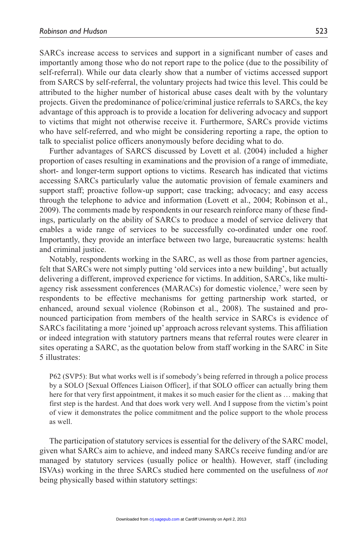SARCs increase access to services and support in a significant number of cases and importantly among those who do not report rape to the police (due to the possibility of self-referral). While our data clearly show that a number of victims accessed support from SARCS by self-referral, the voluntary projects had twice this level. This could be attributed to the higher number of historical abuse cases dealt with by the voluntary projects. Given the predominance of police/criminal justice referrals to SARCs, the key advantage of this approach is to provide a location for delivering advocacy and support to victims that might not otherwise receive it. Furthermore, SARCs provide victims who have self-referred, and who might be considering reporting a rape, the option to talk to specialist police officers anonymously before deciding what to do.

Further advantages of SARCS discussed by Lovett et al. (2004) included a higher proportion of cases resulting in examinations and the provision of a range of immediate, short- and longer-term support options to victims. Research has indicated that victims accessing SARCs particularly value the automatic provision of female examiners and support staff; proactive follow-up support; case tracking; advocacy; and easy access through the telephone to advice and information (Lovett et al., 2004; Robinson et al., 2009). The comments made by respondents in our research reinforce many of these findings, particularly on the ability of SARCs to produce a model of service delivery that enables a wide range of services to be successfully co-ordinated under one roof. Importantly, they provide an interface between two large, bureaucratic systems: health and criminal justice.

Notably, respondents working in the SARC, as well as those from partner agencies, felt that SARCs were not simply putting 'old services into a new building', but actually delivering a different, improved experience for victims. In addition, SARCs, like multiagency risk assessment conferences (MARACs) for domestic violence,7 were seen by respondents to be effective mechanisms for getting partnership work started, or enhanced, around sexual violence (Robinson et al., 2008). The sustained and pronounced participation from members of the health service in SARCs is evidence of SARCs facilitating a more 'joined up' approach across relevant systems. This affiliation or indeed integration with statutory partners means that referral routes were clearer in sites operating a SARC, as the quotation below from staff working in the SARC in Site 5 illustrates:

P62 (SVP5): But what works well is if somebody's being referred in through a police process by a SOLO [Sexual Offences Liaison Officer], if that SOLO officer can actually bring them here for that very first appointment, it makes it so much easier for the client as … making that first step is the hardest. And that does work very well. And I suppose from the victim's point of view it demonstrates the police commitment and the police support to the whole process as well.

The participation of statutory services is essential for the delivery of the SARC model, given what SARCs aim to achieve, and indeed many SARCs receive funding and/or are managed by statutory services (usually police or health). However, staff (including ISVAs) working in the three SARCs studied here commented on the usefulness of *not* being physically based within statutory settings: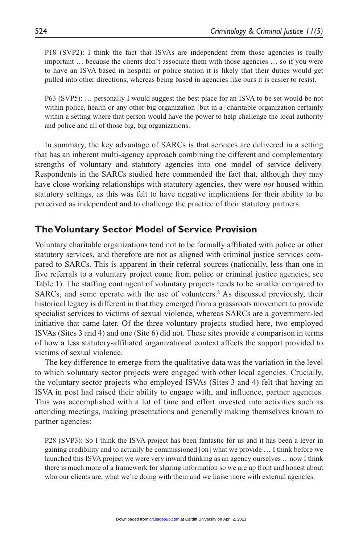P18 (SVP2): I think the fact that ISVAs are independent from those agencies is really important … because the clients don't associate them with those agencies … so if you were to have an ISVA based in hospital or police station it is likely that their duties would get pulled into other directions, whereas being based in agencies like ours it is easier to resist.

P63 (SVP5): … personally I would suggest the best place for an ISVA to be set would be not within police, health or any other big organization [but in a] charitable organization certainly within a setting where that person would have the power to help challenge the local authority and police and all of those big, big organizations.

In summary, the key advantage of SARCs is that services are delivered in a setting that has an inherent multi-agency approach combining the different and complementary strengths of voluntary and statutory agencies into one model of service delivery. Respondents in the SARCs studied here commended the fact that, although they may have close working relationships with statutory agencies, they were *not* housed within statutory settings, as this was felt to have negative implications for their ability to be perceived as independent and to challenge the practice of their statutory partners.

# **The Voluntary Sector Model of Service Provision**

Voluntary charitable organizations tend not to be formally affiliated with police or other statutory services, and therefore are not as aligned with criminal justice services compared to SARCs. This is apparent in their referral sources (nationally, less than one in five referrals to a voluntary project come from police or criminal justice agencies; see Table 1). The staffing contingent of voluntary projects tends to be smaller compared to SARCs, and some operate with the use of volunteers.<sup>8</sup> As discussed previously, their historical legacy is different in that they emerged from a grassroots movement to provide specialist services to victims of sexual violence, whereas SARCs are a government-led initiative that came later. Of the three voluntary projects studied here, two employed ISVAs (Sites 3 and 4) and one (Site 6) did not. These sites provide a comparison in terms of how a less statutory-affiliated organizational context affects the support provided to victims of sexual violence.

The key difference to emerge from the qualitative data was the variation in the level to which voluntary sector projects were engaged with other local agencies. Crucially, the voluntary sector projects who employed ISVAs (Sites 3 and 4) felt that having an ISVA in post had raised their ability to engage with, and influence, partner agencies. This was accomplished with a lot of time and effort invested into activities such as attending meetings, making presentations and generally making themselves known to partner agencies:

P28 (SVP3): So I think the ISVA project has been fantastic for us and it has been a lever in gaining credibility and to actually be commissioned [on] what we provide … I think before we launched this ISVA project we were very inward thinking as an agency ourselves ... now I think there is much more of a framework for sharing information so we are up front and honest about who our clients are, what we're doing with them and we liaise more with external agencies.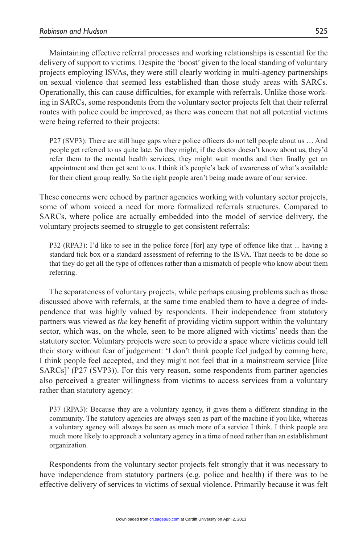Maintaining effective referral processes and working relationships is essential for the delivery of support to victims. Despite the 'boost' given to the local standing of voluntary projects employing ISVAs, they were still clearly working in multi-agency partnerships on sexual violence that seemed less established than those study areas with SARCs. Operationally, this can cause difficulties, for example with referrals. Unlike those working in SARCs, some respondents from the voluntary sector projects felt that their referral routes with police could be improved, as there was concern that not all potential victims were being referred to their projects:

P27 (SVP3): There are still huge gaps where police officers do not tell people about us … And people get referred to us quite late. So they might, if the doctor doesn't know about us, they'd refer them to the mental health services, they might wait months and then finally get an appointment and then get sent to us. I think it's people's lack of awareness of what's available for their client group really. So the right people aren't being made aware of our service.

These concerns were echoed by partner agencies working with voluntary sector projects, some of whom voiced a need for more formalized referrals structures. Compared to SARCs, where police are actually embedded into the model of service delivery, the voluntary projects seemed to struggle to get consistent referrals:

P32 (RPA3): I'd like to see in the police force [for] any type of offence like that ... having a standard tick box or a standard assessment of referring to the ISVA. That needs to be done so that they do get all the type of offences rather than a mismatch of people who know about them referring.

The separateness of voluntary projects, while perhaps causing problems such as those discussed above with referrals, at the same time enabled them to have a degree of independence that was highly valued by respondents. Their independence from statutory partners was viewed as *the* key benefit of providing victim support within the voluntary sector, which was, on the whole, seen to be more aligned with victims' needs than the statutory sector. Voluntary projects were seen to provide a space where victims could tell their story without fear of judgement: 'I don't think people feel judged by coming here, I think people feel accepted, and they might not feel that in a mainstream service [like SARCs]' (P27 (SVP3)). For this very reason, some respondents from partner agencies also perceived a greater willingness from victims to access services from a voluntary rather than statutory agency:

P37 (RPA3): Because they are a voluntary agency, it gives them a different standing in the community. The statutory agencies are always seen as part of the machine if you like, whereas a voluntary agency will always be seen as much more of a service I think. I think people are much more likely to approach a voluntary agency in a time of need rather than an establishment organization.

Respondents from the voluntary sector projects felt strongly that it was necessary to have independence from statutory partners (e.g. police and health) if there was to be effective delivery of services to victims of sexual violence. Primarily because it was felt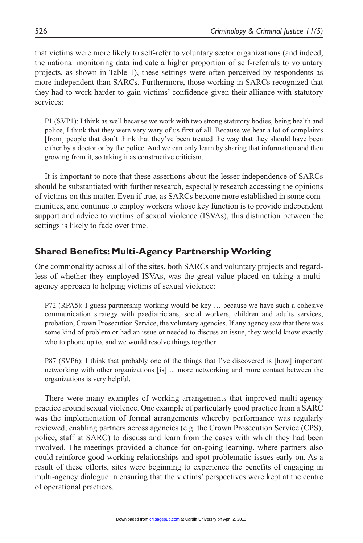that victims were more likely to self-refer to voluntary sector organizations (and indeed, the national monitoring data indicate a higher proportion of self-referrals to voluntary projects, as shown in Table 1), these settings were often perceived by respondents as more independent than SARCs. Furthermore, those working in SARCs recognized that they had to work harder to gain victims' confidence given their alliance with statutory services:

P1 (SVP1): I think as well because we work with two strong statutory bodies, being health and police, I think that they were very wary of us first of all. Because we hear a lot of complaints [from] people that don't think that they've been treated the way that they should have been either by a doctor or by the police. And we can only learn by sharing that information and then growing from it, so taking it as constructive criticism.

It is important to note that these assertions about the lesser independence of SARCs should be substantiated with further research, especially research accessing the opinions of victims on this matter. Even if true, as SARCs become more established in some communities, and continue to employ workers whose key function is to provide independent support and advice to victims of sexual violence (ISVAs), this distinction between the settings is likely to fade over time.

# **Shared Benefits: Multi-Agency Partnership Working**

One commonality across all of the sites, both SARCs and voluntary projects and regardless of whether they employed ISVAs, was the great value placed on taking a multiagency approach to helping victims of sexual violence:

P72 (RPA5): I guess partnership working would be key … because we have such a cohesive communication strategy with paediatricians, social workers, children and adults services, probation, Crown Prosecution Service, the voluntary agencies. If any agency saw that there was some kind of problem or had an issue or needed to discuss an issue, they would know exactly who to phone up to, and we would resolve things together.

P87 (SVP6): I think that probably one of the things that I've discovered is [how] important networking with other organizations [is] ... more networking and more contact between the organizations is very helpful.

There were many examples of working arrangements that improved multi-agency practice around sexual violence. One example of particularly good practice from a SARC was the implementation of formal arrangements whereby performance was regularly reviewed, enabling partners across agencies (e.g. the Crown Prosecution Service (CPS), police, staff at SARC) to discuss and learn from the cases with which they had been involved. The meetings provided a chance for on-going learning, where partners also could reinforce good working relationships and spot problematic issues early on. As a result of these efforts, sites were beginning to experience the benefits of engaging in multi-agency dialogue in ensuring that the victims' perspectives were kept at the centre of operational practices.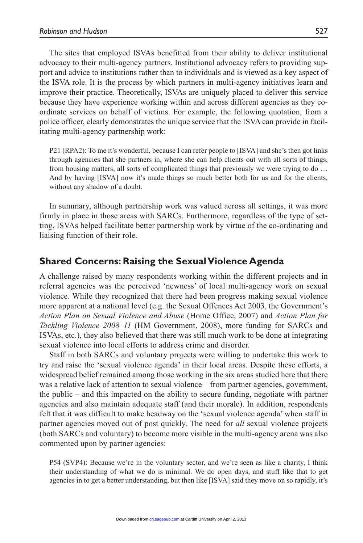The sites that employed ISVAs benefitted from their ability to deliver institutional advocacy to their multi-agency partners. Institutional advocacy refers to providing support and advice to institutions rather than to individuals and is viewed as a key aspect of the ISVA role. It is the process by which partners in multi-agency initiatives learn and improve their practice. Theoretically, ISVAs are uniquely placed to deliver this service because they have experience working within and across different agencies as they coordinate services on behalf of victims. For example, the following quotation, from a police officer, clearly demonstrates the unique service that the ISVA can provide in facilitating multi-agency partnership work:

P21 (RPA2): To me it's wonderful, because I can refer people to [ISVA] and she's then got links through agencies that she partners in, where she can help clients out with all sorts of things, from housing matters, all sorts of complicated things that previously we were trying to do … And by having [ISVA] now it's made things so much better both for us and for the clients, without any shadow of a doubt.

In summary, although partnership work was valued across all settings, it was more firmly in place in those areas with SARCs. Furthermore, regardless of the type of setting, ISVAs helped facilitate better partnership work by virtue of the co-ordinating and liaising function of their role.

## **Shared Concerns: Raising the Sexual Violence Agenda**

A challenge raised by many respondents working within the different projects and in referral agencies was the perceived 'newness' of local multi-agency work on sexual violence. While they recognized that there had been progress making sexual violence more apparent at a national level (e.g. the Sexual Offences Act 2003, the Government's *Action Plan on Sexual Violence and Abuse* (Home Office, 2007) and *Action Plan for Tackling Violence 2008–11* (HM Government, 2008), more funding for SARCs and ISVAs, etc.), they also believed that there was still much work to be done at integrating sexual violence into local efforts to address crime and disorder.

Staff in both SARCs and voluntary projects were willing to undertake this work to try and raise the 'sexual violence agenda' in their local areas. Despite these efforts, a widespread belief remained among those working in the six areas studied here that there was a relative lack of attention to sexual violence – from partner agencies, government, the public – and this impacted on the ability to secure funding, negotiate with partner agencies and also maintain adequate staff (and their morale). In addition, respondents felt that it was difficult to make headway on the 'sexual violence agenda' when staff in partner agencies moved out of post quickly. The need for *all* sexual violence projects (both SARCs and voluntary) to become more visible in the multi-agency arena was also commented upon by partner agencies:

P54 (SVP4): Because we're in the voluntary sector, and we're seen as like a charity, I think their understanding of what we do is minimal. We do open days, and stuff like that to get agencies in to get a better understanding, but then like [ISVA] said they move on so rapidly, it's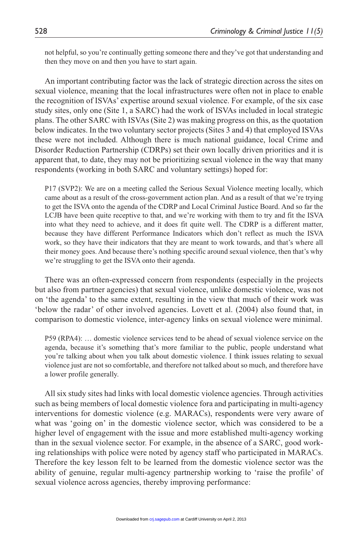not helpful, so you're continually getting someone there and they've got that understanding and then they move on and then you have to start again.

An important contributing factor was the lack of strategic direction across the sites on sexual violence, meaning that the local infrastructures were often not in place to enable the recognition of ISVAs' expertise around sexual violence. For example, of the six case study sites, only one (Site 1, a SARC) had the work of ISVAs included in local strategic plans. The other SARC with ISVAs (Site 2) was making progress on this, as the quotation below indicates. In the two voluntary sector projects (Sites 3 and 4) that employed ISVAs these were not included. Although there is much national guidance, local Crime and Disorder Reduction Partnership (CDRPs) set their own locally driven priorities and it is apparent that, to date, they may not be prioritizing sexual violence in the way that many respondents (working in both SARC and voluntary settings) hoped for:

P17 (SVP2): We are on a meeting called the Serious Sexual Violence meeting locally, which came about as a result of the cross-government action plan. And as a result of that we're trying to get the ISVA onto the agenda of the CDRP and Local Criminal Justice Board. And so far the LCJB have been quite receptive to that, and we're working with them to try and fit the ISVA into what they need to achieve, and it does fit quite well. The CDRP is a different matter, because they have different Performance Indicators which don't reflect as much the ISVA work, so they have their indicators that they are meant to work towards, and that's where all their money goes. And because there's nothing specific around sexual violence, then that's why we're struggling to get the ISVA onto their agenda.

There was an often-expressed concern from respondents (especially in the projects but also from partner agencies) that sexual violence, unlike domestic violence, was not on 'the agenda' to the same extent, resulting in the view that much of their work was 'below the radar' of other involved agencies. Lovett et al. (2004) also found that, in comparison to domestic violence, inter-agency links on sexual violence were minimal.

P59 (RPA4): … domestic violence services tend to be ahead of sexual violence service on the agenda, because it's something that's more familiar to the public, people understand what you're talking about when you talk about domestic violence. I think issues relating to sexual violence just are not so comfortable, and therefore not talked about so much, and therefore have a lower profile generally.

All six study sites had links with local domestic violence agencies. Through activities such as being members of local domestic violence fora and participating in multi-agency interventions for domestic violence (e.g. MARACs), respondents were very aware of what was 'going on' in the domestic violence sector, which was considered to be a higher level of engagement with the issue and more established multi-agency working than in the sexual violence sector. For example, in the absence of a SARC, good working relationships with police were noted by agency staff who participated in MARACs. Therefore the key lesson felt to be learned from the domestic violence sector was the ability of genuine, regular multi-agency partnership working to 'raise the profile' of sexual violence across agencies, thereby improving performance: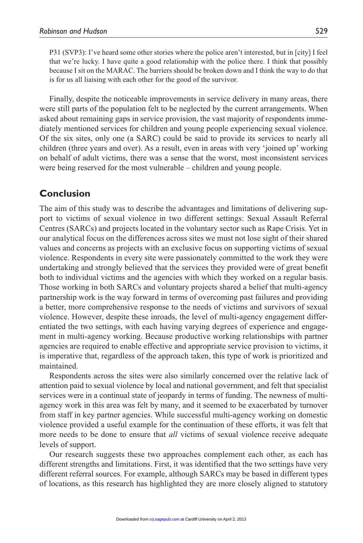P31 (SVP3): I've heard some other stories where the police aren't interested, but in [city] I feel that we're lucky. I have quite a good relationship with the police there. I think that possibly because I sit on the MARAC. The barriers should be broken down and I think the way to do that is for us all liaising with each other for the good of the survivor.

Finally, despite the noticeable improvements in service delivery in many areas, there were still parts of the population felt to be neglected by the current arrangements. When asked about remaining gaps in service provision, the vast majority of respondents immediately mentioned services for children and young people experiencing sexual violence. Of the six sites, only one (a SARC) could be said to provide its services to nearly all children (three years and over). As a result, even in areas with very 'joined up' working on behalf of adult victims, there was a sense that the worst, most inconsistent services were being reserved for the most vulnerable – children and young people.

# **Conclusion**

The aim of this study was to describe the advantages and limitations of delivering support to victims of sexual violence in two different settings: Sexual Assault Referral Centres (SARCs) and projects located in the voluntary sector such as Rape Crisis. Yet in our analytical focus on the differences across sites we must not lose sight of their shared values and concerns as projects with an exclusive focus on supporting victims of sexual violence. Respondents in every site were passionately committed to the work they were undertaking and strongly believed that the services they provided were of great benefit both to individual victims and the agencies with which they worked on a regular basis. Those working in both SARCs and voluntary projects shared a belief that multi-agency partnership work is the way forward in terms of overcoming past failures and providing a better, more comprehensive response to the needs of victims and survivors of sexual violence. However, despite these inroads, the level of multi-agency engagement differentiated the two settings, with each having varying degrees of experience and engagement in multi-agency working. Because productive working relationships with partner agencies are required to enable effective and appropriate service provision to victims, it is imperative that, regardless of the approach taken, this type of work is prioritized and maintained.

Respondents across the sites were also similarly concerned over the relative lack of attention paid to sexual violence by local and national government, and felt that specialist services were in a continual state of jeopardy in terms of funding. The newness of multiagency work in this area was felt by many, and it seemed to be exacerbated by turnover from staff in key partner agencies. While successful multi-agency working on domestic violence provided a useful example for the continuation of these efforts, it was felt that more needs to be done to ensure that *all* victims of sexual violence receive adequate levels of support.

Our research suggests these two approaches complement each other, as each has different strengths and limitations. First, it was identified that the two settings have very different referral sources. For example, although SARCs may be based in different types of locations, as this research has highlighted they are more closely aligned to statutory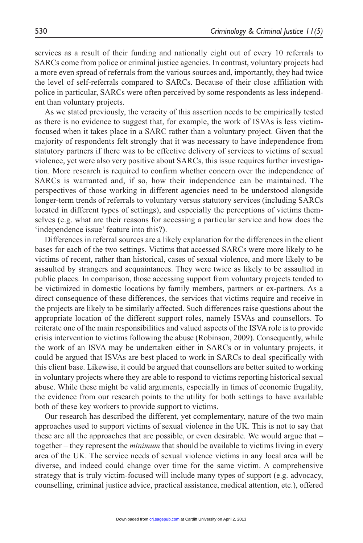services as a result of their funding and nationally eight out of every 10 referrals to SARCs come from police or criminal justice agencies. In contrast, voluntary projects had a more even spread of referrals from the various sources and, importantly, they had twice the level of self-referrals compared to SARCs. Because of their close affiliation with police in particular, SARCs were often perceived by some respondents as less independent than voluntary projects.

As we stated previously, the veracity of this assertion needs to be empirically tested as there is no evidence to suggest that, for example, the work of ISVAs is less victimfocused when it takes place in a SARC rather than a voluntary project. Given that the majority of respondents felt strongly that it was necessary to have independence from statutory partners if there was to be effective delivery of services to victims of sexual violence, yet were also very positive about SARCs, this issue requires further investigation. More research is required to confirm whether concern over the independence of SARCs is warranted and, if so, how their independence can be maintained. The perspectives of those working in different agencies need to be understood alongside longer-term trends of referrals to voluntary versus statutory services (including SARCs located in different types of settings), and especially the perceptions of victims themselves (e.g. what are their reasons for accessing a particular service and how does the 'independence issue' feature into this?).

Differences in referral sources are a likely explanation for the differences in the client bases for each of the two settings. Victims that accessed SARCs were more likely to be victims of recent, rather than historical, cases of sexual violence, and more likely to be assaulted by strangers and acquaintances. They were twice as likely to be assaulted in public places. In comparison, those accessing support from voluntary projects tended to be victimized in domestic locations by family members, partners or ex-partners. As a direct consequence of these differences, the services that victims require and receive in the projects are likely to be similarly affected. Such differences raise questions about the appropriate location of the different support roles, namely ISVAs and counsellors. To reiterate one of the main responsibilities and valued aspects of the ISVA role is to provide crisis intervention to victims following the abuse (Robinson, 2009). Consequently, while the work of an ISVA may be undertaken either in SARCs or in voluntary projects, it could be argued that ISVAs are best placed to work in SARCs to deal specifically with this client base. Likewise, it could be argued that counsellors are better suited to working in voluntary projects where they are able to respond to victims reporting historical sexual abuse. While these might be valid arguments, especially in times of economic frugality, the evidence from our research points to the utility for both settings to have available both of these key workers to provide support to victims.

Our research has described the different, yet complementary, nature of the two main approaches used to support victims of sexual violence in the UK. This is not to say that these are all the approaches that are possible, or even desirable. We would argue that – together – they represent the *minimum* that should be available to victims living in every area of the UK. The service needs of sexual violence victims in any local area will be diverse, and indeed could change over time for the same victim. A comprehensive strategy that is truly victim-focused will include many types of support (e.g. advocacy, counselling, criminal justice advice, practical assistance, medical attention, etc.), offered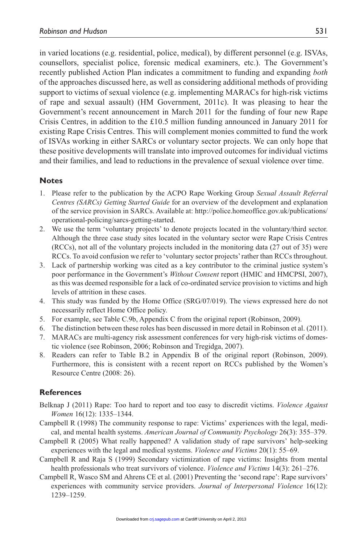in varied locations (e.g. residential, police, medical), by different personnel (e.g. ISVAs, counsellors, specialist police, forensic medical examiners, etc.). The Government's recently published Action Plan indicates a commitment to funding and expanding *both* of the approaches discussed here, as well as considering additional methods of providing support to victims of sexual violence (e.g. implementing MARACs for high-risk victims of rape and sexual assault) (HM Government, 2011c). It was pleasing to hear the Government's recent announcement in March 2011 for the funding of four new Rape Crisis Centres, in addition to the £10.5 million funding announced in January 2011 for existing Rape Crisis Centres. This will complement monies committed to fund the work of ISVAs working in either SARCs or voluntary sector projects. We can only hope that these positive developments will translate into improved outcomes for individual victims and their families, and lead to reductions in the prevalence of sexual violence over time.

#### **Notes**

- 1. Please refer to the publication by the ACPO Rape Working Group *Sexual Assault Referral Centres (SARCs) Getting Started Guide* for an overview of the development and explanation of the service provision in SARCs. Available at: http://police.homeoffice.gov.uk/publications/ operational-policing/sarcs-getting-started.
- 2. We use the term 'voluntary projects' to denote projects located in the voluntary/third sector. Although the three case study sites located in the voluntary sector were Rape Crisis Centres (RCCs), not all of the voluntary projects included in the monitoring data (27 out of 35) were RCCs. To avoid confusion we refer to 'voluntary sector projects' rather than RCCs throughout.
- 3. Lack of partnership working was cited as a key contributor to the criminal justice system's poor performance in the Government's *Without Consent* report (HMIC and HMCPSI, 2007), as this was deemed responsible for a lack of co-ordinated service provision to victims and high levels of attrition in these cases.
- 4. This study was funded by the Home Office (SRG/07/019). The views expressed here do not necessarily reflect Home Office policy.
- 5. For example, see Table C.9b, Appendix C from the original report (Robinson, 2009).
- 6. The distinction between these roles has been discussed in more detail in Robinson et al. (2011).
- 7. MARACs are multi-agency risk assessment conferences for very high-risk victims of domestic violence (see Robinson, 2006; Robinson and Tregidga, 2007).
- 8. Readers can refer to Table B.2 in Appendix B of the original report (Robinson, 2009). Furthermore, this is consistent with a recent report on RCCs published by the Women's Resource Centre (2008: 26).

#### **References**

- Belknap J (2011) Rape: Too hard to report and too easy to discredit victims. *Violence Against Women* 16(12): 1335–1344.
- Campbell R (1998) The community response to rape: Victims' experiences with the legal, medical, and mental health systems. *American Journal of Community Psychology* 26(3): 355–379.
- Campbell R (2005) What really happened? A validation study of rape survivors' help-seeking experiences with the legal and medical systems. *Violence and Victims* 20(1): 55–69.
- Campbell R and Raja S (1999) Secondary victimization of rape victims: Insights from mental health professionals who treat survivors of violence. *Violence and Victims* 14(3): 261–276.
- Campbell R, Wasco SM and Ahrens CE et al. (2001) Preventing the 'second rape': Rape survivors' experiences with community service providers. *Journal of Interpersonal Violence* 16(12): 1239–1259.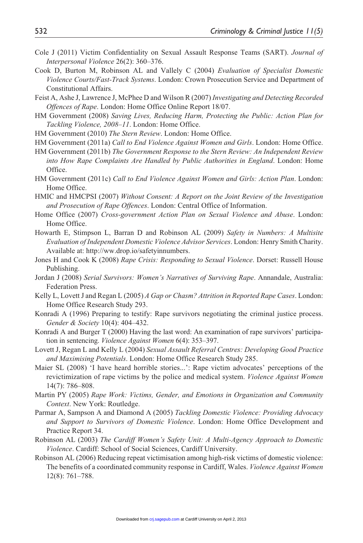- Cole J (2011) Victim Confidentiality on Sexual Assault Response Teams (SART). *Journal of Interpersonal Violence* 26(2): 360–376.
- Cook D, Burton M, Robinson AL and Vallely C (2004) *Evaluation of Specialist Domestic Violence Courts/Fast-Track Systems*. London: Crown Prosecution Service and Department of Constitutional Affairs.
- Feist A, Ashe J, Lawrence J, McPhee D and Wilson R (2007) *Investigating and Detecting Recorded Offences of Rape*. London: Home Office Online Report 18/07.
- HM Government (2008) *Saving Lives, Reducing Harm, Protecting the Public: Action Plan for Tackling Violence, 2008–11*. London: Home Office.
- HM Government (2010) *The Stern Review*. London: Home Office.
- HM Government (2011a) *Call to End Violence Against Women and Girls*. London: Home Office.
- HM Government (2011b) *The Government Response to the Stern Review: An Independent Review into How Rape Complaints Are Handled by Public Authorities in England*. London: Home Office.
- HM Government (2011c) *Call to End Violence Against Women and Girls: Action Plan*. London: Home Office.
- HMIC and HMCPSI (2007) *Without Consent: A Report on the Joint Review of the Investigation and Prosecution of Rape Offences*. London: Central Office of Information.
- Home Office (2007) *Cross-government Action Plan on Sexual Violence and Abuse*. London: Home Office.
- Howarth E, Stimpson L, Barran D and Robinson AL (2009) *Safety in Numbers: A Multisite Evaluation of Independent Domestic Violence Advisor Services*. London: Henry Smith Charity. Available at: http://ww.drop.io/safetyinnumbers.
- Jones H and Cook K (2008) *Rape Crisis: Responding to Sexual Violence*. Dorset: Russell House Publishing.
- Jordan J (2008) *Serial Survivors: Women's Narratives of Surviving Rape*. Annandale, Australia: Federation Press.
- Kelly L, Lovett J and Regan L (2005) *A Gap or Chasm? Attrition in Reported Rape Cases*. London: Home Office Research Study 293.
- Konradi A (1996) Preparing to testify: Rape survivors negotiating the criminal justice process. *Gender & Society* 10(4): 404–432.
- Konradi A and Burger T (2000) Having the last word: An examination of rape survivors' participation in sentencing. *Violence Against Women* 6(4): 353–397.
- Lovett J, Regan L and Kelly L (2004) *Sexual Assault Referral Centres: Developing Good Practice and Maximising Potentials*. London: Home Office Research Study 285.
- Maier SL (2008) 'I have heard horrible stories...': Rape victim advocates' perceptions of the revictimization of rape victims by the police and medical system. *Violence Against Women* 14(7): 786–808.
- Martin PY (2005) *Rape Work: Victims, Gender, and Emotions in Organization and Community Context*. New York: Routledge.
- Parmar A, Sampson A and Diamond A (2005) *Tackling Domestic Violence: Providing Advocacy and Support to Survivors of Domestic Violence*. London: Home Office Development and Practice Report 34.
- Robinson AL (2003) *The Cardiff Women's Safety Unit: A Multi-Agency Approach to Domestic Violence*. Cardiff: School of Social Sciences, Cardiff University.
- Robinson AL (2006) Reducing repeat victimisation among high-risk victims of domestic violence: The benefits of a coordinated community response in Cardiff, Wales. *Violence Against Women*  12(8): 761–788.